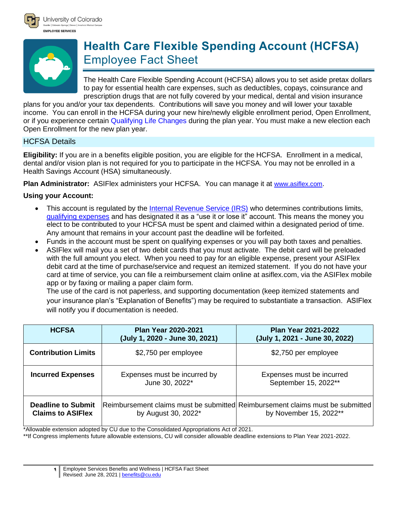



# **Health Care Flexible Spending Account (HCFSA)** Employee Fact Sheet

The Health Care Flexible Spending Account (HCFSA) allows you to set aside pretax dollars to pay for essential health care expenses, such as deductibles, copays, coinsurance and prescription drugs that are not fully covered by your medical, dental and vision insurance

plans for you and/or your tax dependents. Contributions will save you money and will lower your taxable income. You can enroll in the HCFSA during your new hire/newly eligible enrollment period, Open Enrollment, or if you experience certain [Qualifying Life Changes](http://www.cu.edu/node/153130) during the plan year. You must make a new election each Open Enrollment for the new plan year.

# HCFSA Details

**Eligibility:** If you are in a benefits eligible position, you are eligible for the HCFSA. Enrollment in a medical, dental and/or vision plan is not required for you to participate in the HCFSA. You may not be enrolled in a Health Savings Account (HSA) simultaneously.

**Plan Administrator:** ASIFlex administers your HCFSA. You can manage it at [www.asiflex.com](http://www.asiflex.com/).

# **Using your Account:**

- This account is regulated by the [Internal Revenue Service \(IRS\)](https://www.irs.gov/pub/irs-pdf/p969.pdf) who determines contributions limits, [qualifying expenses](http://www.asiflex.com/EligibleExpenses.aspx) and has designated it as a "use it or lose it" account. This means the money you elect to be contributed to your HCFSA must be spent and claimed within a designated period of time. Any amount that remains in your account past the deadline will be forfeited.
- Funds in the account must be spent on qualifying expenses or you will pay both taxes and penalties.
- ASIFlex will mail you a set of two debit cards that you must activate. The debit card will be preloaded with the full amount you elect. When you need to pay for an eligible expense, present your ASIFlex debit card at the time of purchase/service and request an itemized statement. If you do not have your card at time of service, you can file a reimbursement claim online at asiflex.com, via the ASIFlex mobile app or by faxing or mailing a paper claim form.

The use of the card is not paperless, and supporting documentation (keep itemized statements and your insurance plan's "Explanation of Benefits") may be required to substantiate a transaction. ASIFlex will notify you if documentation is needed.

| <b>HCFSA</b>                                          | <b>Plan Year 2020-2021</b><br>(July 1, 2020 - June 30, 2021) | <b>Plan Year 2021-2022</b><br>(July 1, 2021 - June 30, 2022)                                            |
|-------------------------------------------------------|--------------------------------------------------------------|---------------------------------------------------------------------------------------------------------|
| <b>Contribution Limits</b>                            | \$2,750 per employee                                         | \$2,750 per employee                                                                                    |
| <b>Incurred Expenses</b>                              | Expenses must be incurred by<br>June 30, 2022*               | Expenses must be incurred<br>September 15, 2022**                                                       |
| <b>Deadline to Submit</b><br><b>Claims to ASIFIex</b> | by August 30, 2022 <sup>*</sup>                              | Reimbursement claims must be submitted Reimbursement claims must be submitted<br>by November 15, 2022** |

\*Allowable extension adopted by CU due to the Consolidated Appropriations Act of 2021.

\*\*If Congress implements future allowable extensions, CU will consider allowable deadline extensions to Plan Year 2021-2022.